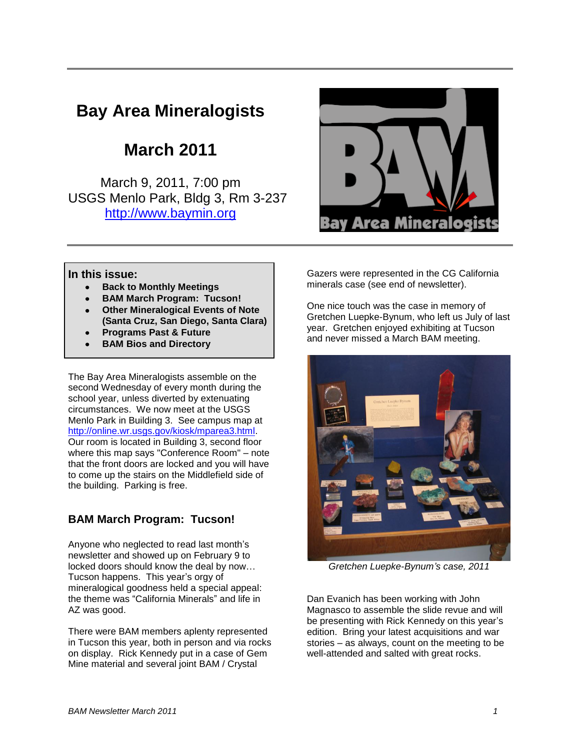# **Bay Area Mineralogists**

## **March 2011**

March 9, 2011, 7:00 pm USGS Menlo Park, Bldg 3, Rm 3-237 [http://www.baymin.org](http://www.baymin.org/)



#### **In this issue:**

- **Back to Monthly Meetings**
- **BAM March Program: Tucson!**
- **Other Mineralogical Events of Note (Santa Cruz, San Diego, Santa Clara)**
- **Programs Past & Future**
- **BAM Bios and Directory**

The Bay Area Mineralogists assemble on the second Wednesday of every month during the school year, unless diverted by extenuating circumstances. We now meet at the USGS Menlo Park in Building 3. See campus map at [http://online.wr.usgs.gov/kiosk/mparea3.html.](http://online.wr.usgs.gov/kiosk/mparea3.html) Our room is located in Building 3, second floor where this map says "Conference Room" – note that the front doors are locked and you will have to come up the stairs on the Middlefield side of the building. Parking is free.

## **BAM March Program: Tucson!**

Anyone who neglected to read last month's newsletter and showed up on February 9 to locked doors should know the deal by now… Tucson happens. This year's orgy of mineralogical goodness held a special appeal: the theme was "California Minerals" and life in AZ was good.

There were BAM members aplenty represented in Tucson this year, both in person and via rocks on display. Rick Kennedy put in a case of Gem Mine material and several joint BAM / Crystal

Gazers were represented in the CG California minerals case (see end of newsletter).

One nice touch was the case in memory of Gretchen Luepke-Bynum, who left us July of last year. Gretchen enjoyed exhibiting at Tucson and never missed a March BAM meeting.



*Gretchen Luepke-Bynum's case, 2011*

Dan Evanich has been working with John Magnasco to assemble the slide revue and will be presenting with Rick Kennedy on this year's edition. Bring your latest acquisitions and war stories – as always, count on the meeting to be well-attended and salted with great rocks.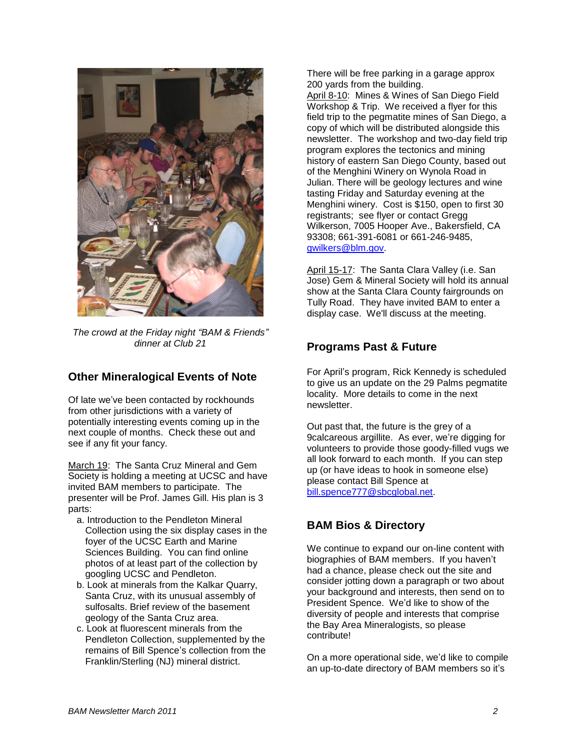

*The crowd at the Friday night "BAM & Friends" dinner at Club 21*

#### **Other Mineralogical Events of Note**

Of late we've been contacted by rockhounds from other jurisdictions with a variety of potentially interesting events coming up in the next couple of months. Check these out and see if any fit your fancy.

March 19: The Santa Cruz Mineral and Gem Society is holding a meeting at UCSC and have invited BAM members to participate. The presenter will be Prof. James Gill. His plan is 3 parts:

- a. Introduction to the Pendleton Mineral Collection using the six display cases in the foyer of the UCSC Earth and Marine Sciences Building. You can find online photos of at least part of the collection by googling UCSC and Pendleton.
- b. Look at minerals from the Kalkar Quarry, Santa Cruz, with its unusual assembly of sulfosalts. Brief review of the basement geology of the Santa Cruz area.
- c. Look at fluorescent minerals from the Pendleton Collection, supplemented by the remains of Bill Spence's collection from the Franklin/Sterling (NJ) mineral district.

There will be free parking in a garage approx 200 yards from the building. April 8-10: Mines & Wines of San Diego Field Workshop & Trip. We received a flyer for this field trip to the pegmatite mines of San Diego, a copy of which will be distributed alongside this newsletter. The workshop and two-day field trip program explores the tectonics and mining history of eastern San Diego County, based out of the Menghini Winery on Wynola Road in Julian. There will be geology lectures and wine tasting Friday and Saturday evening at the Menghini winery. Cost is \$150, open to first 30 registrants; see flyer or contact Gregg Wilkerson, 7005 Hooper Ave., Bakersfield, CA 93308; 661-391-6081 or 661-246-9485, [gwilkers@blm.gov.](mailto:gwilkers@blm.gov)

April 15-17: The Santa Clara Valley (i.e. San Jose) Gem & Mineral Society will hold its annual show at the Santa Clara County fairgrounds on Tully Road. They have invited BAM to enter a display case. We'll discuss at the meeting.

### **Programs Past & Future**

For April's program, Rick Kennedy is scheduled to give us an update on the 29 Palms pegmatite locality. More details to come in the next newsletter.

Out past that, the future is the grey of a 9calcareous argillite. As ever, we're digging for volunteers to provide those goody-filled vugs we all look forward to each month. If you can step up (or have ideas to hook in someone else) please contact Bill Spence at [bill.spence777@sbcglobal.net.](mailto:bill.spence777@sbcglobal.net)

## **BAM Bios & Directory**

We continue to expand our on-line content with biographies of BAM members. If you haven't had a chance, please check out the site and consider jotting down a paragraph or two about your background and interests, then send on to President Spence. We'd like to show of the diversity of people and interests that comprise the Bay Area Mineralogists, so please contribute!

On a more operational side, we'd like to compile an up-to-date directory of BAM members so it's